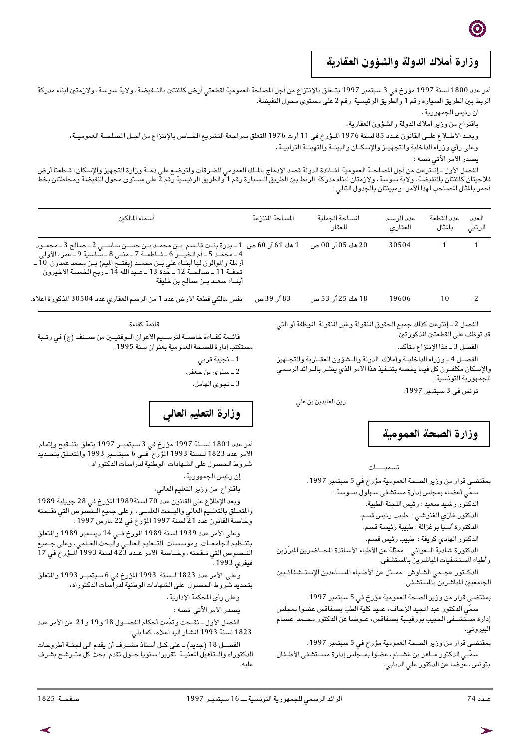## وزارة أملاك الدولة والشؤون العقارية

أمر عدد 1800 لسنة 1997 مؤرخ في 3 سبتمبر 1997 يتـعلق بالإنتزاع من أجل المصلحة العمومية لقطعتي أرض كائنتين بالنـفيضة، ولاية سوسة، ولازمتين لبناء مدركة الربط بين الطريق السيارة رقم 1 والطريق الرئيسية رقم 2 على مستوى محول النفيضة.

ان رئيس الجمهورية،

باقتراح من وزير أملاك الدولة والشؤون العقارية،

وبعـد الاطـلاع علـى القانون عـدد 85 لسنة 1976 المـؤرخ فى 11 أوت 1976 المتعلق بمراجعة التشريع الخـاص بالإنتزاع من أجـل المصلحـة العموميـة،

وعلى رأي وزراء الداخلية والتجهيـز والإسكـان والبيئـة والتهيئـة الترابيــة،

يصدر الأمر الآتى نصه :

الفصل الأول ـ إنــترعت من أجل الصلحــة العمومية لفــائدة الدولة قصد الإدماج بالــلك العمومي للطـرقات ولتوضـع على ذمــة وزارة التجهيز والإسكان، قــطعتا أرض<br>فلاحيتان كائنتان بالنفيضة، ولاية سوسة، ولازمتان لبناء مدركة الربط

| أسماء المالكن                                                                                                                                                                                                                                                                                                                                                                   | المساحة المنتزعة | المساحة الحملية<br>للعقار | عدد الرسم<br>العقاري | عدد القطعة<br>بالثال | العدد<br>الرتبى |
|---------------------------------------------------------------------------------------------------------------------------------------------------------------------------------------------------------------------------------------------------------------------------------------------------------------------------------------------------------------------------------|------------------|---------------------------|----------------------|----------------------|-----------------|
| 1 هك 61 ٱر 60 ص   1 ـ بدرة بنــت قاــسم  بـن محمــد بــن حســن سـاســي 2 ــ صـالح 3 ــ محمــود<br>4 ـ محمد 5 ـ أم الخيــر 6 ـ فـاطمــة 7 ـ منــى 8 ـ سّاسية 9 ـ عمر ، الأولى<br>أرملة والموالون لها أبنــاء علي بــن محمــد (بفتــح الميم) بــن محمد عمدون  10 ــ<br>تحفــة 11 ـ صالحــة 12 ـ حدة 13 ـ عـبدالله 14 ـ ربح الخمسـة الأخيرون<br>أبنــاء سـعـد بــن صـالـح بن خليفة |                  | 20 هك 05 آر 00 ص          | 30504                |                      |                 |
| نفس مالكي قطعة الأرض عدد 1 من الرسم العقاري عدد 30504 المذكورة اعلاه.                                                                                                                                                                                                                                                                                                           | 83 اُر 39 ص      | 18 هك 25 آر. 53 ص         | 19606                | 10                   |                 |

الفصل 2 ـ إنترعت كذلك جميع الحقوق المنقولة وغير المنقولة الموظفة أو التي قد توظف على القطعتين المذكورتين.

الفصل 3 \_ هذا الإنتزاع متأكد.

الفصـل 4 ـ وزراء الداخليـة وأملاك الدولة والـشؤون العقـارية والتجــهيز والإسكان مكلفــون كل فيما يخصـه بتنــفيذ هذا الأمر الذي ينشـر بالــرائد الرسـمي للجمهورية التونسية.

تونس في 3 سبتمبر 1997.

زين العابدين بن علي

وزارة الصحة العمومية

تسميــات

بمقتضى قرار من وزير الصحة العمومية مؤرخ في 5 سبتمبر 1997. سمّي أعضاء بمجلس إدارة مستشفى سـهلول بسـوسـة : الدكتور رشيد سعيد : رئيس اللجنة الطبية.

الدكتور غازي الغنوشي : طبيب رئيس قسم.

الدكتورة ٱسيا بوغزالة : طبيبة رئيسة قسم.

الدكتور الـهادي كريفة : طبيب رئيس قسـم.

الدكتورة شادية الـعواني : ممثلة عن الأطباء الأساتذة المصاضرين المبرّزين وأطباء المستشفيات المباشرين بالمستشفى.

الدكــتور عجــمي الشـاوش : ممــثل عن الأطــباء المســاعدين الإسـتــشـفائــيين<br>الجامعيين الباشرين بالمستشـفي.

بمقتضى قرار من وزير الصحة العمومية مؤرخ في 5 سبتمبر 1997. سمَّى الدكتور عبد المجيد الزحاف، عميد كلية الطب بصفاقس عضوا بمجلس

إدارة مستشـــفى الـحبيب بورقيــبة بصـفاقس، عــوضـا عن الدكتور محــمد عصـام البيروتي.

بمقتضى قرار من وزير الصحة العمومية مؤرخ في 5 سبتمبر 1997. سمَّــى الدكتور مــاهر بن غشــام، عضـوا بمــجلس إدارة مســتشـفى الأطــفال بنونس، عوضـا عن الدكتور علي الدبابي.

قائمة كفاءة

قائـمة كفــاءة خاصــة لترســيم الأعوان الــوقتيــين من صـــنف (ج) في رتــبة تكتب إدارة للصحة العمومية بعنوان سنة 1995.

1 ـ نجيبة قربي.

2 ــ سلوی بن جعفر.

3 ـ نجوى الهامل.

## وزارة التعليم العالى

أمر عدد 1801 لســنة 1997 مؤرخ في 3 سبتمبـر 1997 يتعلق بتنــقيح وإتمام<br>الأمر عدد 1823 لـسنة 1993 المؤرخ فــي 6 سبتمـبر 1993 والتعــلق بتحـديد شروط الحصول على الشـهادات الوطنية لدراسـات الدكتوراه.

إن رئيس الجمهورية،

باقتراح من وزير التعليم العالي،

وبعد الإطلاع على القانون عدد 70 لسنة1989 المؤرخ في 28 جويلية 1989 والمتعـِّـلق بالتعلــيم العالي والبـِـحث العلمــي، وعلى جميع الــنصوص الّتي نقــحته<br>وحاصة القانون عدد 21 لسنة 1997 المَّرْح في 22 مارس 1997،

وعلى الأمر عدد 1823 لـسنة 1993 المؤرخ في 6 سبتمبـر 1993 والمتعلق بتحديد شروط الحصول على الشهادات الوطنية لدرآسات الدكتوراه،

وعلى رأى المحكمة الإدارية،

يصدر الأمر الآتي نصه :

الفصل الأول ـ نقـحت وتمَّمت أحكام الفصــول 18 و19 و21 من الأمر عدد 1823 لسنة 1993 المشار اليه اعلاه، كماً يلي :

الفصــل 18 (جديد) ــ على كــل أسـتاذ مشــرف أن يقدم الى لـجنــة أطروحات الدكتوراه والـتأهيل المعنيــة تقريرا سنويا حــول تقدم بحث كل متــرشـح يشرف عليه.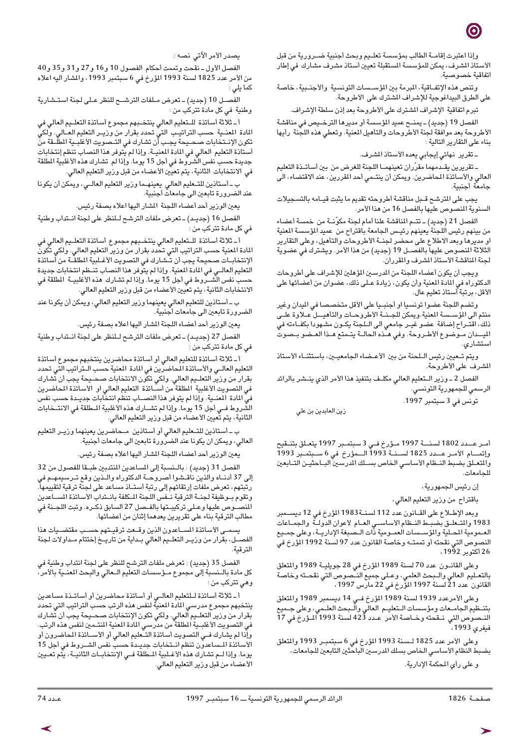وإذا اعتبرت إقامــة الطالب بمؤسسة تعلــيم وبحث أجنبية ضــرورية من قبل الأستاذ الشرف، يمكن للمؤسسة المستقبلة تعيين أستاذ مشرف مشارك في إطار اتفاقية خصوصية

وتنص هذه الإتفــاقية، المبرمة بين المؤســسات التونسـية والأجنــبية، خاصـة على الطرق البيداغوجية للإشراف المشترك على الأطروحة.

تبرم اتفاقية الإشراف المشترك على الأطروحة بعد إذن سلطة الإشراف.

الفصل 19 (جديد) ـ يمنــح عميد المؤسسـة أو مديرها الترخــيص في مناقشـة الأطروحة بعد موافقة لجنة الأطروحات والتأهيل المعنية. وتعطي هذه اللجنة رأيها بناء على التقارير التالية:

ـ تقرير نهائي إيجابي يعده الأستاذ المشرف.

ـ تقريرين يقـدمهما مقرّران تعينهمــا اللجنة للغرض من بين أسـاتــذة التعليم العالي والأساتذة المحاضرين. ويمكن أن ينتـمي أحد المقررين، عند الاقتضاء، الى جامعة أجنبية.

يجب على المترشح قـبل مناقشة أطروحته تقديم ما يثبت قيـامه بالتسجيلات السنوية المنصوص عليها بالفصل 16 من هذا الأمر.

الفصل 21 (جديد) ــ تتــم المناقشة علنا أمام لجنة مكوّنــة من خمسـة أعضـاء من بينهم رئيس اللجنة يعينهم رئيـس الجامعة باقتراح من عميد المؤسسة المعنية او مديرها وبعد الاطلاع على محضر لجنــة الأطروحات والتأهيل، وعلى التقارير الثلاثة المنصوص عليهاً بالفصـــل 19 (جديد) من هذا الأمر. ويشترك في عضوية لجنة المناقشة الأستاذ المشرف والمقرران.

ويجب أن يكون أعضاء اللجنة من المدرسين المؤهلين للإشراف على أطروحات الدكتوراه في المادة المعنية وأن يكون، زيادة عـلى ذلك، عضوان من أعضائها على الأقل، برتبة أُستاذ تعليم عال.

وتضم اللجنة عضوا تونسيا او أجنبـيا على الأقل متخصصـا في الميدان وغير منتم الى المؤسـسة المعنية.ويمكن للجـنــة الأطروحــات والتأهيـــل عــلاوة علــى ذلك، اقتــراح إضـافة عضـو غيــر جامعي الى الــلجنة يكــون مشـهودا بكفــاءته في الميـــدان مــوضوع الأطــروحة. وفي هــده الحالــة يتــمتع هــذا العــضـو بــصـوتّ استشاري.

ويتم تـعيين رئيس الـلحنة من بين الأعـضاء الجامعيـين، باستثنـاء الأستاذ المشرف على الأطروحة.

الفصل 2 ـ وزير الـتعليم العالي مكلـف بتنفيذ هذا الأمر الذي ينــشر بالرائد الرسمي للجمهورية التونسي.

تونس في 3 سبتمبر 1997.

زين العابدين بن علي

أمـر عــدد 1802 لسنـــة 1997 مـؤرخ فـي 3 سبتمـبر 1997 يتعـلق بتنـقيح وإتمــام الأمـر عــدد 1825 لســنــة 1993 الـــمؤرخ في 6 ســبتمــبر 1993 والمتعـلق بضبط النـظام الأسـاسـي الخاص بســلك المدرسـين البــاحثيــن التــابعين للحامعات.

إن رئيس الجمهورية،

باقتراح من وزير التعليم العالي،

وبعد الإطــلاع على القــانون عدد 112 لسـنــة 1983 المؤرخ في 12 ديســـمبر 1983 والتحلـق بضبــط النــظام الأساســي العــام لأعوان الدولــة والجمــاعات<br>العــمومية المــلية والمؤســسات العمــومية ذات الــصـبغة الإداريــة، وعلى جمــيع<br>العــمومية المــلية والمؤســسات العمــومية ذات الــصـبغة الإداري النصوص التي نقحته أو تممتــه وخاصـة القانون عدد 97 لسـنة 1992 المؤرخ في 26 أكتوبر 1992،

وعلى القانــون عدد 70 لسنة 1989 المؤرخ في 28 جويليــة 1989 والمتعلق بالتعـليم العالي والــبحث العلمي، وعـلى جميع النــصوص التي نقحــته وخاصة القانون عدد 21 لسنة 1997 المُّرِخ في 22 مارس 1997،

وعلى الأمرعدد 1939 لسنة 1989 المؤرخ فـي 14 ديسمبر 1989 والمتعلق بتنــظيم الـجامــعات ومؤسسـات الــتعليــم الـعالي والّــبحث الـعلــمي، وعلى جــميـع النــصـوص التي نــقحته وخــاصـة الأمر. عــدد 423 لسـنة 1993 الــؤرخ في 17 .<br>فيفر*ى* 1993،

وعلى الأمر عدد 1825 لـسنة 1993 المؤرخ في 6 سبتمبـر 1993 والمتعلق بضبط النظام الأساسي الخاص بسلك المدرسين الباحثين التابعين للجامعات، و على رأى المحكمة الإدارية.

يصدر الأمر الآتى نصه :

الفصل الأول-نقحت وتممت أحكام الفصول 10 و16 و27 و31 و35 و40 من الأمر عدد 1825 لسنة 1993 المؤرخ في 6 سبتمبر 1993، والمشار اليه اعلاه كما يلي :

الفصـل 10 (جديد) ـ تعرض مـلفات الترشــح للنظر عـلى لجنة استـشارية وطنية في كل مادة تتركب من :

أ ــ ثلاثة أساتذة للـتعليم العالي ينتخـبهم مجموع أساتذة التعلـيم العالي في المادة المعنــية حسب التراتيــب التيّ تحدد بقرار من وريــر التعليم العــالى. ولكيّ تكون الإنــتخابات صـحــيحة يجـب أن تشـارك في التــصـويت الأغلبــية المطلّــقة منّ أستاذة التعليم العالي في المادة المعنيــة. وإذا لم يتوفر هذا النصـاب تنظم إنتخابات جديدة حسب نفس الشروط فى أجل 15 يوما. وإذا لم تشارك هذه الأغلبية المطلقة في الانتخابات الثانية، يتم تعيّين الأعضاء من قبل وزير التعليم العالي.

ب ــ أسـتاذين للـتــعليم العالي يعينهـما وزير التعليم العالــي، ويمكن أن يكونا<br>عند الضرورة تابعين الى جامعات أجنبية.

يعين الوربير أحد أعضـاء اللـجنة المشـار اليها اعلاه بصـفة رئيس.

الفصل 16 (جديد) ـ تعرض ملفات الترشح لـلنظر على لجنة انـتداب وطنية في كل مادة تتركب من :

أ ـ ثلاثة أساتذة للـتعليم العالي ينتخـبهم مجموع أساتذة التعلـيم العالي في المادة المعنية حسب التراتيب التي تحدد بقرار من وزير التعليم العالي. ولكي تكونَ الإنتخابــات صـحيحة يجب أن تــْشـارك فى التصويت الأغــلبية المطلقـّـة من أُسـاتذة التعليم العالـي في المادة المعنية. وإذا لم يتوفر هذا النصـاب تنــظم انتخابات جديدة ب نفس الشــروط في أجل 15 يوما. وإذا لم تشارك هذه الأغلبيــة المطلقة فى الانتخابات الثانية، يتم تعيين الأعضاء من قبل وزير التعليم العالي.

ب ــ أستاذين للتعليم العالي يعينهما وزير التعليم العالي، ويمكن أن يكونا عند الضرورة تابعين الى جامعات أجنبية.

يعين الوزير أحد أعضاء اللجنة المشار اليها اعلاه بصفة رئيس.

الفصل 27 (جديد) - تعرض ملفات الترشح للنظر على لجنة انتداب وطنية في كل مادة تتركب من :

أ ـ ثلاثة أساتذة للتعليم العالي أو أساتذة محاضرين ينتخبهم مجموع أساتذة التعليم العالـي والأساتذة المحاضرين في المادة المعنية حسب الـتراتيب التي تحدد بقرار من وزير التعليم العالي. ولكي تكون الانتخابات صحـيحة يجب أن تشارك<br>في التصويت الأغلبية المطلقة من أســاتذة التعليم العالي او الأسـاتذة المحاضرين<br>في المادة المعنــية. وإذا لم يتوفر هذا النصـــاب تنظم انتخابات جديــ الشَّروط فـي أجل 15 يوما. وإذا لم تشــارك هذه الأغلبية المــطلقة في الانتــخابات الثانية، يتم تعيين الأعضاء من قبل وزير التعليم العالي.

ب ــ أستاذين للتـعليم العالي أو أستاذين مــحاضرين يعينهما وزيـر التعليم العالي، ويمكن ان يكونا عند الضرّورة تابعين الى جامعات أجنبية.

يعين الوزير أحد أعضاء اللجنة المشار اليها اعلاه بصفة رئيس.

الفصل 31 (جديد) : بالـنسبة إلى المساعدين المنتدبين طبـقا للفصول من 32 إلى 37 أدنــاه والذين ناقــشوا أصروحــة الدكتوراه والــذين وقـع تــرسـيمـهــم في رتبتهم، تعرض ملفات إرتقائهم إلى رتبة أستــاذ مسـاعد على لجنة ترقية لتقييمهاً. وتقوم بوظيفة لجنبة الترقية نبفس اللجنة المكلفة بانبتداب الأساتذة المسباعدين المنصــوص عليها وعــلى تركيبــتها بالفــصل 27 السـابق ذكــره. وتبت اللـجــنة في مطالب الترقية بناء على تقريرين يعدهما إثنان من أعضائها.

يسمى الأساتذة المساعدون الذين وقحت ترقيتهم حسب مقتضيات هذا الفصــل، بقرار من وزيــر التعلــيم العالي بــداية من تاريــخ إختتام مــداولات لـجنة الترقية.

الفصل 35 (جديد) : تعرض ملفات الترشح للنظر على لجنة انتداب وطنية في كل مادة بالـنسبة إلى مجموع مـؤسسات التعليم الـعالي والبحث المعنـية بالأمر، وهي تترکب من :

أ ـ ثلاثة أساتذة للتعليم العالـي أو أساتذة محاضرين أو أساتـذة مساعدين ينتخبهم مجموع مدرسي المادة المعنية لنفس هذه الرتب حسب التراتيب التي تحدد بقرار من وزير التعلــيم العالي. ولكي تكون الإنتخابات صـحــيحة يجب أن تشارك في التصويت الأغلبــية المطلقة من مدرسـي المادة المعنية المنتــمين لنفس هذه الرتب. وإذا لم يشارك فـي التصويت أساتذة التـعليم العالي أو الأســاتذة المحاضرون أو الأساتذة المساعدون تنظم انــتخابات جديــدة حسبٌ نفس الشــروط في أجل 15 يوما. وإذا لـم تشارك هذه الأغـلبية المـطلقة فـى الإنتخابـات الثانيــة، يتّم تعـيين الأعضاء من قبل وزير التعليم العالي.